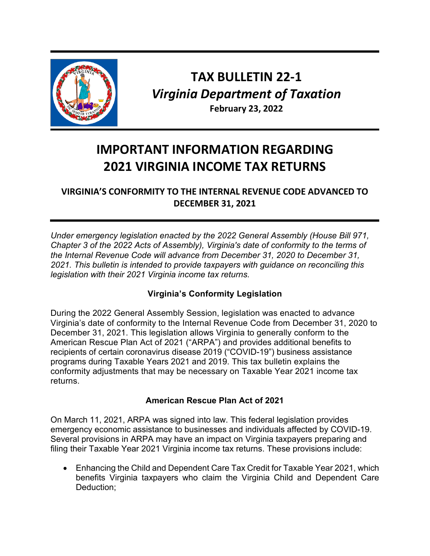

## **TAX BULLETIN 22-1** *Virginia Department of Taxation* **February 23, 2022**

# **IMPORTANT INFORMATION REGARDING 2021 VIRGINIA INCOME TAX RETURNS**

**VIRGINIA'S CONFORMITY TO THE INTERNAL REVENUE CODE ADVANCED TO DECEMBER 31, 2021**

*Under emergency legislation enacted by the 2022 General Assembly (House Bill 971, Chapter 3 of the 2022 Acts of Assembly), Virginia's date of conformity to the terms of the Internal Revenue Code will advance from December 31, 2020 to December 31, 2021. This bulletin is intended to provide taxpayers with guidance on reconciling this legislation with their 2021 Virginia income tax returns.*

### **Virginia's Conformity Legislation**

During the 2022 General Assembly Session, legislation was enacted to advance Virginia's date of conformity to the Internal Revenue Code from December 31, 2020 to December 31, 2021. This legislation allows Virginia to generally conform to the American Rescue Plan Act of 2021 ("ARPA") and provides additional benefits to recipients of certain coronavirus disease 2019 ("COVID-19") business assistance programs during Taxable Years 2021 and 2019. This tax bulletin explains the conformity adjustments that may be necessary on Taxable Year 2021 income tax returns.

#### **American Rescue Plan Act of 2021**

On March 11, 2021, ARPA was signed into law. This federal legislation provides emergency economic assistance to businesses and individuals affected by COVID-19. Several provisions in ARPA may have an impact on Virginia taxpayers preparing and filing their Taxable Year 2021 Virginia income tax returns. These provisions include:

• Enhancing the Child and Dependent Care Tax Credit for Taxable Year 2021, which benefits Virginia taxpayers who claim the Virginia Child and Dependent Care Deduction;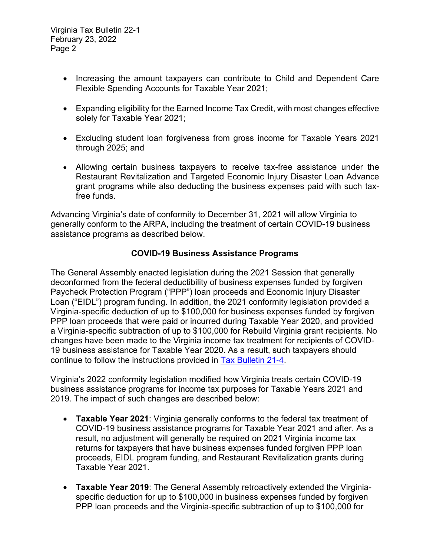Virginia Tax Bulletin 22-1 February 23, 2022 Page 2

- Increasing the amount taxpayers can contribute to Child and Dependent Care Flexible Spending Accounts for Taxable Year 2021;
- Expanding eligibility for the Earned Income Tax Credit, with most changes effective solely for Taxable Year 2021;
- Excluding student loan forgiveness from gross income for Taxable Years 2021 through 2025; and
- Allowing certain business taxpayers to receive tax-free assistance under the Restaurant Revitalization and Targeted Economic Injury Disaster Loan Advance grant programs while also deducting the business expenses paid with such taxfree funds.

Advancing Virginia's date of conformity to December 31, 2021 will allow Virginia to generally conform to the ARPA, including the treatment of certain COVID-19 business assistance programs as described below.

#### **COVID-19 Business Assistance Programs**

The General Assembly enacted legislation during the 2021 Session that generally deconformed from the federal deductibility of business expenses funded by forgiven Paycheck Protection Program ("PPP") loan proceeds and Economic Injury Disaster Loan ("EIDL") program funding. In addition, the 2021 conformity legislation provided a Virginia-specific deduction of up to \$100,000 for business expenses funded by forgiven PPP loan proceeds that were paid or incurred during Taxable Year 2020, and provided a Virginia-specific subtraction of up to \$100,000 for Rebuild Virginia grant recipients. No changes have been made to the Virginia income tax treatment for recipients of COVID-19 business assistance for Taxable Year 2020. As a result, such taxpayers should continue to follow the instructions provided in [Tax Bulletin 21](https://www.tax.virginia.gov/sites/default/files/inline-files/tb-21-4-irc-conformity-advanced.pdf)‐4.

Virginia's 2022 conformity legislation modified how Virginia treats certain COVID-19 business assistance programs for income tax purposes for Taxable Years 2021 and 2019. The impact of such changes are described below:

- **Taxable Year 2021**: Virginia generally conforms to the federal tax treatment of COVID-19 business assistance programs for Taxable Year 2021 and after. As a result, no adjustment will generally be required on 2021 Virginia income tax returns for taxpayers that have business expenses funded forgiven PPP loan proceeds, EIDL program funding, and Restaurant Revitalization grants during Taxable Year 2021.
- **Taxable Year 2019**: The General Assembly retroactively extended the Virginiaspecific deduction for up to \$100,000 in business expenses funded by forgiven PPP loan proceeds and the Virginia-specific subtraction of up to \$100,000 for